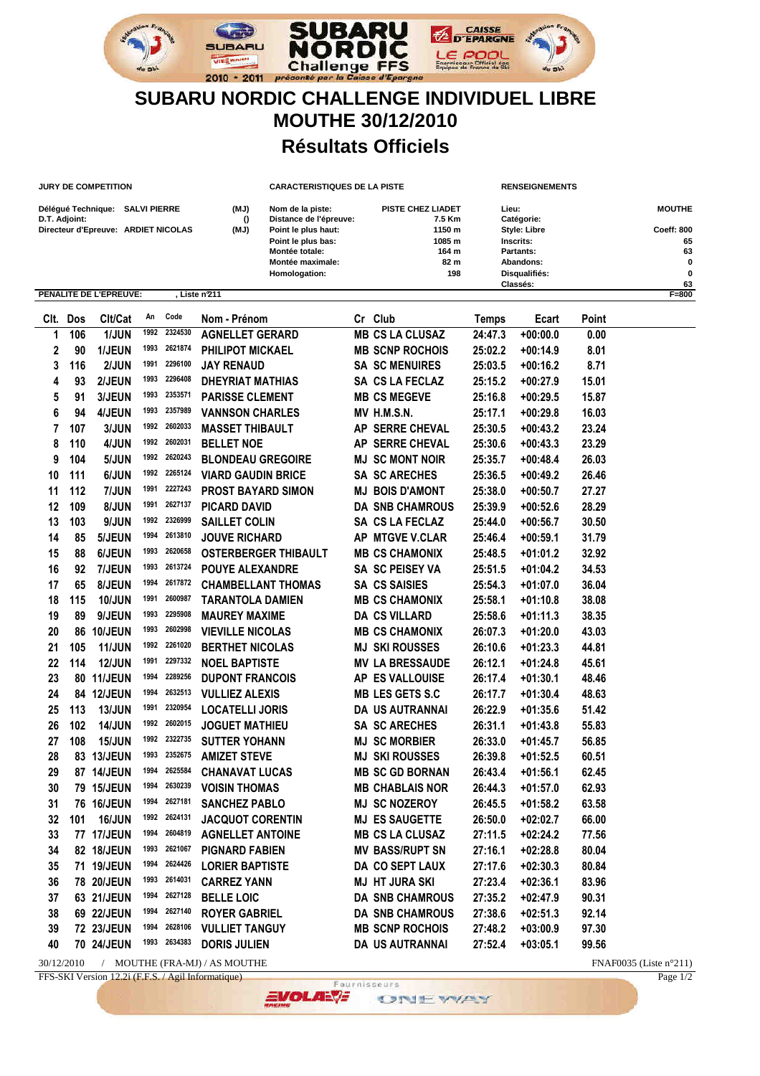

**JURY DE COMPETITION CARACTERISTIQUES DE LA PISTE RENSEIGNEMENTS**

## **SUBARU NORDIC CHALLENGE INDIVIDUEL LIBRE MOUTHE 30/12/2010 Résultats Officiels**

| Délégué Technique: SALVI PIERRE<br>D.T. Adjoint:<br>Directeur d'Epreuve: ARDIET NICOLAS |     |                               |      |              | (MJ)<br>$\Omega$<br>(MJ)  | Nom de la piste:<br>Distance de l'épreuve:<br>Point le plus haut:<br>Point le plus bas:<br><b>Montée totale:</b><br><b>Montée maximale:</b><br>Homologation: | PISTE CHEZ LIADET<br>7.5 Km<br>1150 m<br>1085 m<br>164 m<br>82 m<br>198 |                        | Lieu:                     | Catégorie:<br><b>Style: Libre</b><br>Inscrits:<br>Partants:<br>Abandons: |              | <b>MOUTHE</b><br>Coeff: 800<br>65<br>63<br>O<br>0 |
|-----------------------------------------------------------------------------------------|-----|-------------------------------|------|--------------|---------------------------|--------------------------------------------------------------------------------------------------------------------------------------------------------------|-------------------------------------------------------------------------|------------------------|---------------------------|--------------------------------------------------------------------------|--------------|---------------------------------------------------|
|                                                                                         |     | <b>PENALITE DE L'EPREUVE:</b> |      |              | Liste n'211               |                                                                                                                                                              |                                                                         |                        | Disqualifiés:<br>Classés: |                                                                          |              | 63<br>$F = 800$                                   |
| CIt.                                                                                    | Dos | CIt/Cat                       | An   | Code         | Nom - Prénom              |                                                                                                                                                              |                                                                         | Cr Club                | <b>Temps</b>              | Ecart                                                                    | <b>Point</b> |                                                   |
| 1                                                                                       | 106 | 1/JUN                         | 1992 | 2324530      | <b>AGNELLET GERARD</b>    |                                                                                                                                                              |                                                                         | <b>MB CS LA CLUSAZ</b> | 24:47.3                   | $+00:00.0$                                                               | 0.00         |                                                   |
| 2                                                                                       | 90  | 1/JEUN                        | 1993 | 2621874      | PHILIPOT MICKAEL          |                                                                                                                                                              |                                                                         | <b>MB SCNP ROCHOIS</b> | 25:02.2                   | $+00:14.9$                                                               | 8.01         |                                                   |
| 3                                                                                       | 116 | 2/JUN                         | 1991 | 2296100      | <b>JAY RENAUD</b>         |                                                                                                                                                              |                                                                         | <b>SA SC MENUIRES</b>  | 25:03.5                   | $+00:16.2$                                                               | 8.71         |                                                   |
| 4                                                                                       | 93  | 2/JEUN                        | 1993 | 2296408      | <b>DHEYRIAT MATHIAS</b>   |                                                                                                                                                              |                                                                         | SA CS LA FECLAZ        | 25:15.2                   | $+00:27.9$                                                               | 15.01        |                                                   |
| 5                                                                                       | 91  | 3/JEUN                        | 1993 | 2353571      | <b>PARISSE CLEMENT</b>    |                                                                                                                                                              |                                                                         | <b>MB CS MEGEVE</b>    | 25:16.8                   | $+00:29.5$                                                               | 15.87        |                                                   |
| 6                                                                                       | 94  | 4/JEUN                        | 1993 | 2357989      | <b>VANNSON CHARLES</b>    |                                                                                                                                                              |                                                                         | <b>MV H.M.S.N.</b>     | 25:17.1                   | $+00:29.8$                                                               | 16.03        |                                                   |
| 7                                                                                       | 107 | 3/JUN                         | 1992 | 2602033      | <b>MASSET THIBAULT</b>    |                                                                                                                                                              | AP                                                                      | <b>SERRE CHEVAL</b>    | 25:30.5                   | $+00:43.2$                                                               | 23.24        |                                                   |
| 8                                                                                       | 110 | 4/JUN                         | 1992 | 2602031      | <b>BELLET NOE</b>         |                                                                                                                                                              | АP                                                                      | <b>SERRE CHEVAL</b>    | 25:30.6                   | $+00:43.3$                                                               | 23.29        |                                                   |
| 9                                                                                       | 104 | 5/JUN                         | 1992 | 2620243      | <b>BLONDEAU GREGOIRE</b>  |                                                                                                                                                              |                                                                         | <b>MJ SC MONT NOIR</b> | 25:35.7                   | $+00:48.4$                                                               | 26.03        |                                                   |
| 10                                                                                      | 111 | 6/JUN                         | 1992 | 2265124      | <b>VIARD GAUDIN BRICE</b> |                                                                                                                                                              |                                                                         | <b>SA SC ARECHES</b>   | 25:36.5                   | $+00:49.2$                                                               | 26.46        |                                                   |
| 11                                                                                      | 112 | 7/JUN                         | 1991 | 2227243      | <b>PROST BAYARD SIMON</b> |                                                                                                                                                              |                                                                         | <b>MJ BOIS D'AMONT</b> | 25:38.0                   | $+00:50.7$                                                               | 27.27        |                                                   |
| 12                                                                                      | 109 | 8/JUN                         | 1991 | 2627137      | <b>PICARD DAVID</b>       |                                                                                                                                                              |                                                                         | <b>DA SNB CHAMROUS</b> | 25:39.9                   | $+00:52.6$                                                               | 28.29        |                                                   |
| 13                                                                                      | 103 | 9/JUN                         | 1992 | 2326999      | <b>SAILLET COLIN</b>      |                                                                                                                                                              |                                                                         | SA CS LA FECLAZ        | 25:44.0                   | $+00:56.7$                                                               | 30.50        |                                                   |
| 14                                                                                      | 85  | 5/JEUN                        | 1994 | 2613810      | <b>JOUVE RICHARD</b>      |                                                                                                                                                              |                                                                         | AP MTGVE V.CLAR        | 25:46.4                   | $+00:59.1$                                                               | 31.79        |                                                   |
| 15                                                                                      | 88  | 6/JEUN                        | 1993 | 2620658      |                           | <b>OSTERBERGER THIBAULT</b>                                                                                                                                  |                                                                         | <b>MB CS CHAMONIX</b>  | 25:48.5                   | $+01:01.2$                                                               | 32.92        |                                                   |
| 16                                                                                      | 92  | 7/JEUN                        | 1993 | 2613724      | <b>POUYE ALEXANDRE</b>    |                                                                                                                                                              |                                                                         | SA SC PEISEY VA        | 25:51.5                   | $+01:04.2$                                                               | 34.53        |                                                   |
| 17                                                                                      | 65  | 8/JEUN                        | 1994 | 2617872      | <b>CHAMBELLANT THOMAS</b> |                                                                                                                                                              |                                                                         | <b>SA CS SAISIES</b>   | 25:54.3                   | $+01:07.0$                                                               | 36.04        |                                                   |
| 18                                                                                      | 115 | <b>10/JUN</b>                 | 1991 | 2600987      | <b>TARANTOLA DAMIEN</b>   |                                                                                                                                                              |                                                                         | <b>MB CS CHAMONIX</b>  | 25:58.1                   | $+01:10.8$                                                               | 38.08        |                                                   |
| 19                                                                                      | 89  | 9/JEUN                        | 1993 | 2295908      | <b>MAUREY MAXIME</b>      |                                                                                                                                                              |                                                                         | <b>DA CS VILLARD</b>   | 25:58.6                   | $+01:11.3$                                                               | 38.35        |                                                   |
| 20                                                                                      | 86  | 10/JEUN                       | 1993 | 2602998      | <b>VIEVILLE NICOLAS</b>   |                                                                                                                                                              |                                                                         | <b>MB CS CHAMONIX</b>  | 26:07.3                   | $+01:20.0$                                                               | 43.03        |                                                   |
| 21                                                                                      | 105 | <b>11/JUN</b>                 | 1992 | 2261020      | <b>BERTHET NICOLAS</b>    |                                                                                                                                                              |                                                                         | <b>MJ SKI ROUSSES</b>  | 26:10.6                   | $+01:23.3$                                                               | 44.81        |                                                   |
| 22                                                                                      | 114 | <b>12/JUN</b>                 | 1991 | 2297332      | <b>NOEL BAPTISTE</b>      |                                                                                                                                                              |                                                                         | <b>MV LA BRESSAUDE</b> | 26:12.1                   | $+01:24.8$                                                               | 45.61        |                                                   |
| 23                                                                                      | 80  | 11/JEUN                       | 1994 | 2289256      | <b>DUPONT FRANCOIS</b>    |                                                                                                                                                              |                                                                         | AP ES VALLOUISE        | 26:17.4                   | $+01:30.1$                                                               | 48.46        |                                                   |
| 24                                                                                      |     | 84 12/JEUN                    | 1994 | 2632513      | <b>VULLIEZ ALEXIS</b>     |                                                                                                                                                              |                                                                         | <b>MB LES GETS S.C</b> | 26:17.7                   | $+01:30.4$                                                               | 48.63        |                                                   |
| 25                                                                                      | 113 | <b>13/JUN</b>                 | 1991 | 2320954      | <b>LOCATELLI JORIS</b>    |                                                                                                                                                              |                                                                         | <b>DA US AUTRANNAI</b> | 26:22.9                   | $+01:35.6$                                                               | 51.42        |                                                   |
| 26                                                                                      | 102 | <b>14/JUN</b>                 | 1992 | 2602015      | <b>JOGUET MATHIEU</b>     |                                                                                                                                                              |                                                                         | <b>SA SC ARECHES</b>   | 26:31.1                   | $+01:43.8$                                                               | 55.83        |                                                   |
| 27                                                                                      | 108 | <b>15/JUN</b>                 | 1992 | 2322735      | <b>SUTTER YOHANN</b>      |                                                                                                                                                              | MJ                                                                      | <b>SC MORBIER</b>      | 26:33.0                   | $+01:45.7$                                                               | 56.85        |                                                   |
| 28                                                                                      | 83  | 13/JEUN                       | 1993 | 2352675      | <b>AMIZET STEVE</b>       |                                                                                                                                                              | MJ                                                                      | <b>SKI ROUSSES</b>     | 26:39.8                   | $+01:52.5$                                                               | 60.51        |                                                   |
| 29                                                                                      | 87  | <b>14/JEUN</b>                | 1994 | 2625584      | <b>CHANAVAT LUCAS</b>     |                                                                                                                                                              |                                                                         | <b>MB SC GD BORNAN</b> | 26:43.4                   | $+01:56.1$                                                               | 62.45        |                                                   |
| 30                                                                                      |     | 79 15/JEUN                    | 1994 | 2630239      | <b>VOISIN THOMAS</b>      |                                                                                                                                                              |                                                                         | <b>MB CHABLAIS NOR</b> | 26:44.3                   | $+01:57.0$                                                               | 62.93        |                                                   |
| 31                                                                                      |     | 76 16/JEUN                    |      | 1994 2627181 | <b>SANCHEZ PABLO</b>      |                                                                                                                                                              |                                                                         | <b>MJ SC NOZEROY</b>   | 26:45.5                   | $+01:58.2$                                                               | 63.58        |                                                   |
| 32                                                                                      | 101 | <b>16/JUN</b>                 |      | 1992 2624131 | <b>JACQUOT CORENTIN</b>   |                                                                                                                                                              |                                                                         | <b>MJ ES SAUGETTE</b>  | 26:50.0                   | $+02:02.7$                                                               | 66.00        |                                                   |
| 33                                                                                      |     | 77 17/JEUN                    | 1994 | 2604819      | <b>AGNELLET ANTOINE</b>   |                                                                                                                                                              |                                                                         | <b>MB CS LA CLUSAZ</b> | 27:11.5                   | $+02:24.2$                                                               | 77.56        |                                                   |
| 34                                                                                      |     | 82 18/JEUN                    | 1993 | 2621067      | <b>PIGNARD FABIEN</b>     |                                                                                                                                                              |                                                                         | <b>MV BASS/RUPT SN</b> | 27:16.1                   | $+02:28.8$                                                               | 80.04        |                                                   |
| 35                                                                                      |     | 71 19/JEUN                    | 1994 | 2624426      | <b>LORIER BAPTISTE</b>    |                                                                                                                                                              |                                                                         | DA CO SEPT LAUX        | 27:17.6                   | $+02:30.3$                                                               | 80.84        |                                                   |
| 36                                                                                      |     | 78 20/JEUN                    | 1993 | 2614031      | <b>CARREZ YANN</b>        |                                                                                                                                                              |                                                                         | <b>MJ HT JURA SKI</b>  | 27:23.4                   | $+02:36.1$                                                               | 83.96        |                                                   |
| 37                                                                                      |     | 63 21/JEUN                    | 1994 | 2627128      | <b>BELLE LOIC</b>         |                                                                                                                                                              |                                                                         | <b>DA SNB CHAMROUS</b> | 27:35.2                   | $+02:47.9$                                                               | 90.31        |                                                   |
| 38                                                                                      |     | 69 22/JEUN                    | 1994 | 2627140      | <b>ROYER GABRIEL</b>      |                                                                                                                                                              |                                                                         | DA SNB CHAMROUS        | 27:38.6                   | $+02:51.3$                                                               | 92.14        |                                                   |
| 39                                                                                      |     | 72 23/JEUN                    | 1994 | 2628106      | <b>VULLIET TANGUY</b>     |                                                                                                                                                              |                                                                         | <b>MB SCNP ROCHOIS</b> | 27:48.2                   | $+03:00.9$                                                               | 97.30        |                                                   |
| 40                                                                                      |     | 70 24/JEUN                    |      | 1993 2634383 | <b>DORIS JULIEN</b>       |                                                                                                                                                              |                                                                         | DA US AUTRANNAI        | 27:52.4                   | $+03:05.1$                                                               | 99.56        |                                                   |

30/12/2010 / MOUTHE (FRA-MJ) / AS MOUTHE **FRAMPIONE** FNAF0035 (Liste n°211)<br>FFS-SKI Version 12.2i (F.F.S. / Agil Informatique) **FRAMPIONE** Page 1/2

FFS-SKI Version 12.2i (F.F.S. / Agil Informatique) Paul Informatique ONEWAY